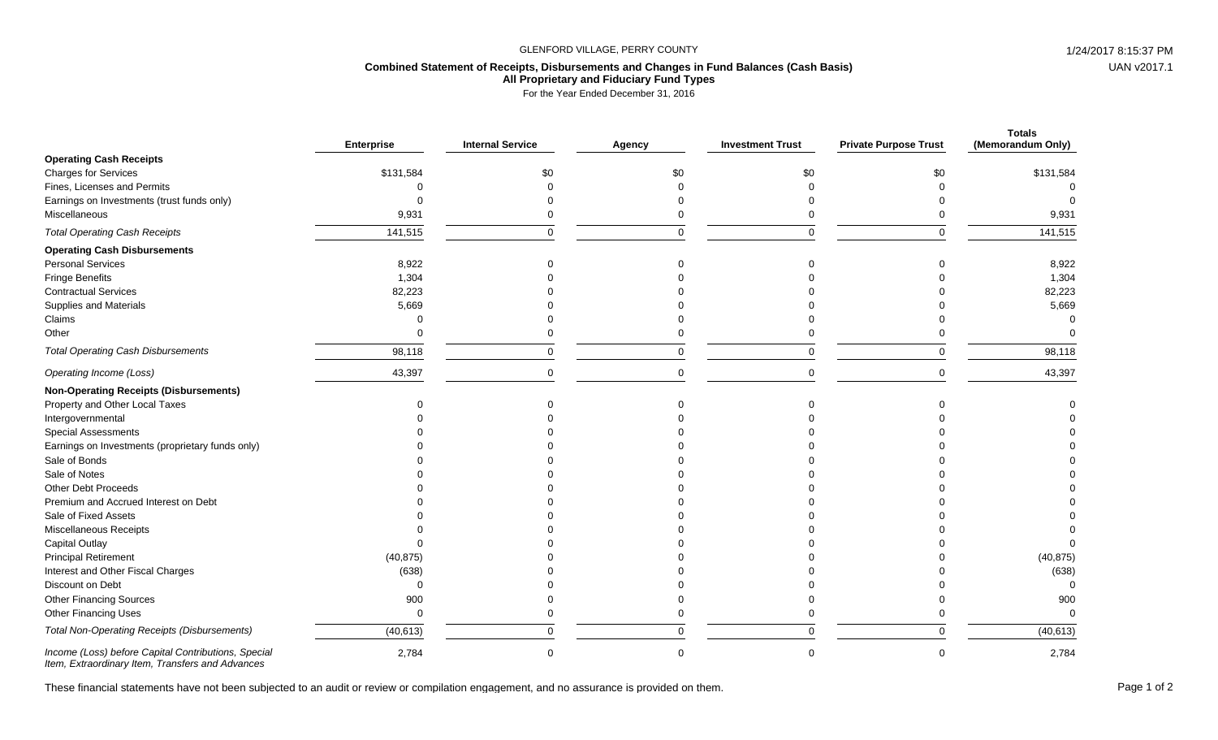## GLENFORD VILLAGE, PERRY COUNTY **1/24/2017 8:15:37 PM**

## **Combined Statement of Receipts, Disbursements and Changes in Fund Balances (Cash Basis) All Proprietary and Fiduciary Fund Types**

For the Year Ended December 31, 2016

|                                                     | <b>Enterprise</b> | <b>Internal Service</b> | Agency   | <b>Investment Trust</b> | <b>Private Purpose Trust</b> | <b>Totals</b><br>(Memorandum Only) |
|-----------------------------------------------------|-------------------|-------------------------|----------|-------------------------|------------------------------|------------------------------------|
| <b>Operating Cash Receipts</b>                      |                   |                         |          |                         |                              |                                    |
| <b>Charges for Services</b>                         | \$131,584         | \$0                     | \$0      | \$0                     | \$0                          | \$131,584                          |
| Fines, Licenses and Permits                         |                   |                         |          |                         |                              | $\Omega$                           |
| Earnings on Investments (trust funds only)          |                   |                         |          |                         |                              |                                    |
| Miscellaneous                                       | 9,931             | 0                       |          |                         |                              | 9,931                              |
| <b>Total Operating Cash Receipts</b>                | 141,515           | $\mathbf 0$             | $\Omega$ | $\Omega$                | $\Omega$                     | 141,515                            |
| <b>Operating Cash Disbursements</b>                 |                   |                         |          |                         |                              |                                    |
| <b>Personal Services</b>                            | 8,922             |                         |          |                         |                              | 8,922                              |
| <b>Fringe Benefits</b>                              | 1,304             |                         |          |                         |                              | 1,304                              |
| <b>Contractual Services</b>                         | 82,223            |                         |          |                         |                              | 82,223                             |
| Supplies and Materials                              | 5,669             |                         |          |                         |                              | 5,669                              |
| Claims                                              |                   |                         |          |                         |                              | $\Omega$                           |
| Other                                               |                   |                         |          |                         |                              |                                    |
| <b>Total Operating Cash Disbursements</b>           | 98,118            | $\mathbf 0$             | $\Omega$ |                         | $\Omega$                     | 98,118                             |
| Operating Income (Loss)                             | 43,397            | $\mathbf 0$             | $\Omega$ | $\Omega$                | $\Omega$                     | 43,397                             |
| <b>Non-Operating Receipts (Disbursements)</b>       |                   |                         |          |                         |                              |                                    |
| Property and Other Local Taxes                      |                   |                         |          |                         |                              |                                    |
| Intergovernmental                                   |                   |                         |          |                         |                              |                                    |
| <b>Special Assessments</b>                          |                   |                         |          |                         |                              |                                    |
| Earnings on Investments (proprietary funds only)    |                   |                         |          |                         |                              |                                    |
| Sale of Bonds                                       |                   |                         |          |                         |                              |                                    |
| Sale of Notes                                       |                   |                         |          |                         |                              |                                    |
| <b>Other Debt Proceeds</b>                          |                   |                         |          |                         |                              |                                    |
| Premium and Accrued Interest on Debt                |                   |                         |          |                         |                              |                                    |
| Sale of Fixed Assets                                |                   |                         |          |                         |                              |                                    |
| Miscellaneous Receipts                              |                   |                         |          |                         |                              |                                    |
| Capital Outlay                                      |                   |                         |          |                         |                              |                                    |
| <b>Principal Retirement</b>                         | (40, 875)         |                         |          |                         |                              | (40, 875)                          |
| Interest and Other Fiscal Charges                   | (638)             |                         |          |                         |                              | (638)                              |
| Discount on Debt                                    | $\Omega$          |                         |          |                         |                              | $\Omega$                           |
| <b>Other Financing Sources</b>                      | 900               |                         |          |                         |                              | 900                                |
| <b>Other Financing Uses</b>                         | ∩                 | O                       |          |                         |                              |                                    |
| <b>Total Non-Operating Receipts (Disbursements)</b> | (40, 613)         | $\mathbf 0$             | U        |                         | $\Omega$                     | (40, 613)                          |
| Income (Loss) before Capital Contributions, Special | 2,784             | $\Omega$                | $\Omega$ | $\Omega$                | $\Omega$                     | 2,784                              |

*Item, Extraordinary Item, Transfers and Advances*

These financial statements have not been subjected to an audit or review or compilation engagement, and no assurance is provided on them.